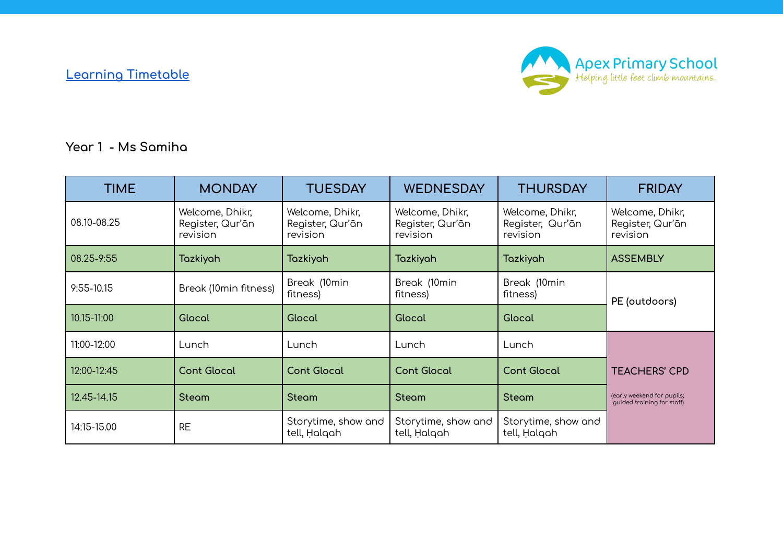**Learning [Timetable](https://docs.google.com/document/d/1qR5I8_VQZxzu9JemDtyqsJ_WNkuHyZw5q1xsMxbR8d4/edit)**



**Year 1 - Ms Samiha**

| <b>TIME</b>    | <b>MONDAY</b>                                   | <b>TUESDAY</b>                                  | <b>WEDNESDAY</b>                                | <b>THURSDAY</b>                                 | <b>FRIDAY</b>                                            |
|----------------|-------------------------------------------------|-------------------------------------------------|-------------------------------------------------|-------------------------------------------------|----------------------------------------------------------|
| 08.10-08.25    | Welcome, Dhikr,<br>Register, Qur'ān<br>revision | Welcome, Dhikr,<br>Register, Qur'ān<br>revision | Welcome, Dhikr,<br>Register, Qur'ān<br>revision | Welcome, Dhikr,<br>Register, Qur'ān<br>revision | Welcome, Dhikr,<br>Register, Qur'ān<br>revision          |
| 08.25-9:55     | Tazkiyah                                        | Tazkiyah                                        | Tazkiyah                                        | Tazkiyah                                        | <b>ASSEMBLY</b>                                          |
| $9:55 - 10.15$ | Break (10min fitness)                           | Break (10min<br>fitness)                        | Break (10min<br>fitness)                        | Break (10min<br>fitness)                        | PE (outdoors)                                            |
| 10.15-11:00    | Glocal                                          | Glocal                                          | Glocal                                          | Glocal                                          |                                                          |
| 11:00-12:00    | Lunch                                           | Lunch                                           | Lunch                                           | Lunch                                           |                                                          |
| 12:00-12:45    | <b>Cont Glocal</b>                              | <b>Cont Glocal</b>                              | <b>Cont Glocal</b>                              | <b>Cont Glocal</b>                              | <b>TEACHERS' CPD</b>                                     |
| 12.45-14.15    | <b>Steam</b>                                    | <b>Steam</b>                                    | <b>Steam</b>                                    | <b>Steam</b>                                    | (early weekend for pupils;<br>quided training for staff) |
| 14:15-15.00    | <b>RE</b>                                       | Storytime, show and<br>tell, Halgah             | Storytime, show and<br>tell, Halgah             | Storytime, show and<br>tell, Halqah             |                                                          |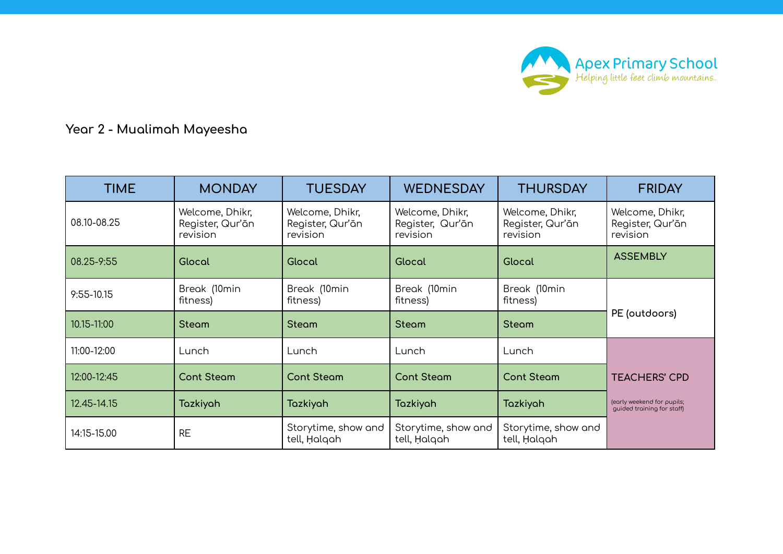

## **Year 2 - Mualimah Mayeesha**

| <b>TIME</b>    | <b>MONDAY</b>                                   | <b>TUESDAY</b>                                  | <b>WEDNESDAY</b>                                | <b>THURSDAY</b>                                 | <b>FRIDAY</b>                                            |
|----------------|-------------------------------------------------|-------------------------------------------------|-------------------------------------------------|-------------------------------------------------|----------------------------------------------------------|
| 08.10-08.25    | Welcome, Dhikr,<br>Register, Qur'ān<br>revision | Welcome, Dhikr,<br>Register, Qur'ān<br>revision | Welcome, Dhikr,<br>Register, Qur'ān<br>revision | Welcome, Dhikr,<br>Register, Qur'ān<br>revision | Welcome, Dhikr,<br>Register, Qur'ān<br>revision          |
| 08.25-9:55     | Glocal                                          | Glocal                                          | Glocal                                          | Glocal                                          | <b>ASSEMBLY</b>                                          |
| $9:55 - 10.15$ | Break (10min<br>fitness)                        | Break (10min<br>fitness)                        | Break (10min<br>fitness)                        | Break (10min<br>fitness)                        |                                                          |
| 10.15-11:00    | <b>Steam</b>                                    | <b>Steam</b>                                    | <b>Steam</b>                                    | <b>Steam</b>                                    | PE (outdoors)                                            |
| 11:00-12:00    | Lunch                                           | Lunch                                           | Lunch                                           | Lunch                                           |                                                          |
| 12:00-12:45    | <b>Cont Steam</b>                               | <b>Cont Steam</b>                               | <b>Cont Steam</b>                               | <b>Cont Steam</b>                               | <b>TEACHERS' CPD</b>                                     |
| 12.45-14.15    | Tazkiyah                                        | Tazkiyah                                        | Tazkiyah                                        | Tazkiyah                                        | (early weekend for pupils;<br>quided training for staff) |
| 14:15-15.00    | <b>RE</b>                                       | Storytime, show and<br>tell, Halqah             | Storytime, show and<br>tell, Halqah             | Storytime, show and<br>tell, Halqah             |                                                          |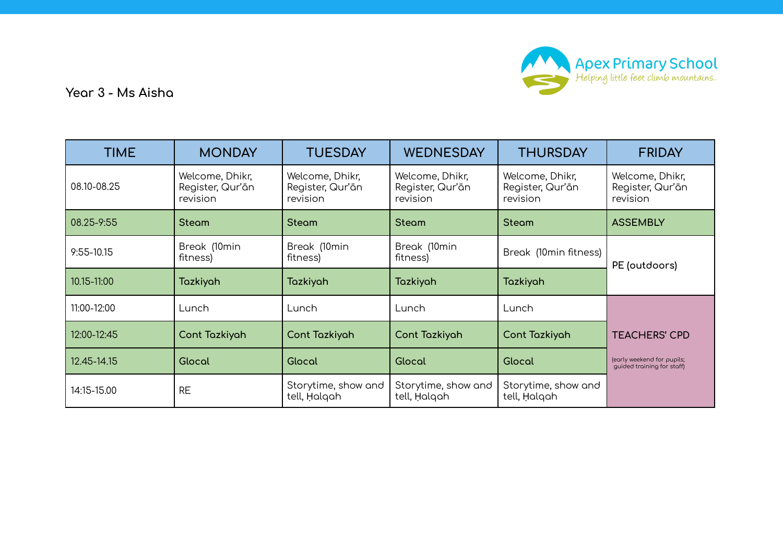

**Year 3 - Ms Aisha**

| <b>TIME</b>    | <b>MONDAY</b>                                   | <b>TUESDAY</b>                                  | <b>WEDNESDAY</b>                                | <b>THURSDAY</b>                                 | <b>FRIDAY</b>                                            |
|----------------|-------------------------------------------------|-------------------------------------------------|-------------------------------------------------|-------------------------------------------------|----------------------------------------------------------|
| 08.10-08.25    | Welcome, Dhikr,<br>Register, Qur'ān<br>revision | Welcome, Dhikr,<br>Register, Qur'ān<br>revision | Welcome, Dhikr,<br>Register, Qur'ān<br>revision | Welcome, Dhikr,<br>Register, Qur'ān<br>revision | Welcome, Dhikr,<br>Register, Qur'ān<br>revision          |
| 08.25-9:55     | <b>Steam</b>                                    | <b>Steam</b>                                    | <b>Steam</b>                                    | <b>Steam</b>                                    | <b>ASSEMBLY</b>                                          |
| $9:55 - 10.15$ | Break (10min<br>fitness)                        | Break (10min<br>fitness)                        | Break (10min<br>fitness)                        | Break (10min fitness)                           | PE (outdoors)                                            |
| 10.15-11:00    | Tazkiyah                                        | Tazkiyah                                        | Tazkiyah                                        | <b>Tazkiyah</b>                                 |                                                          |
| 11:00-12:00    | Lunch                                           | Lunch                                           | Lunch                                           | Lunch                                           |                                                          |
| 12:00-12:45    | Cont Tazkiyah                                   | Cont Tazkiyah                                   | Cont Tazkiyah                                   | Cont Tazkiyah                                   | <b>TEACHERS' CPD</b>                                     |
| 12.45-14.15    | Glocal                                          | Glocal                                          | Glocal                                          | Glocal                                          | (early weekend for pupils;<br>quided training for staff) |
| 14:15-15.00    | <b>RE</b>                                       | Storytime, show and<br>tell, Halqah             | Storytime, show and<br>tell, Halqah             | Storytime, show and<br>tell, Halqah             |                                                          |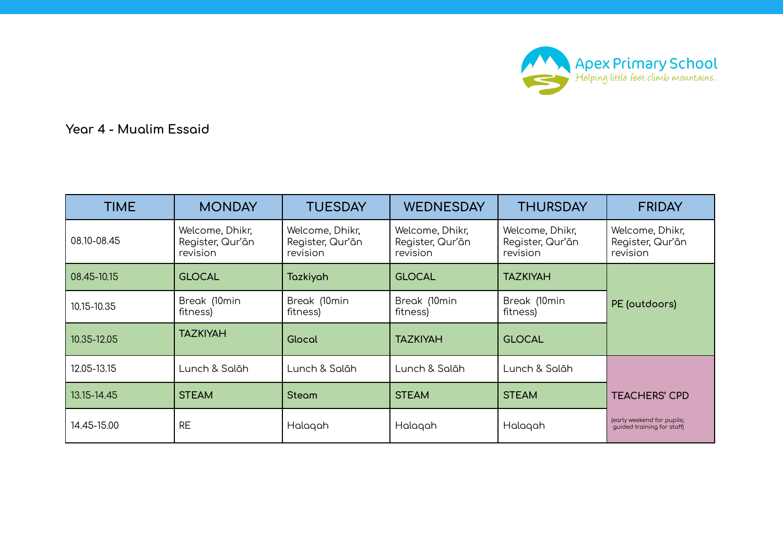

**Year 4 - Mualim Essaid**

| <b>TIME</b> | <b>MONDAY</b>                                   | <b>TUESDAY</b>                                  | <b>WEDNESDAY</b>                                | <b>THURSDAY</b>                                 | <b>FRIDAY</b>                                            |
|-------------|-------------------------------------------------|-------------------------------------------------|-------------------------------------------------|-------------------------------------------------|----------------------------------------------------------|
| 08.10-08.45 | Welcome, Dhikr,<br>Register, Qur'ān<br>revision | Welcome, Dhikr,<br>Register, Qur'ān<br>revision | Welcome, Dhikr,<br>Register, Qur'ān<br>revision | Welcome, Dhikr,<br>Register, Qur'ān<br>revision | Welcome, Dhikr,<br>Register, Qur'ān<br>revision          |
| 08.45-10.15 | <b>GLOCAL</b>                                   | Tazkiyah                                        | <b>GLOCAL</b>                                   | <b>TAZKIYAH</b>                                 |                                                          |
| 10.15-10.35 | Break (10min<br>fitness)                        | Break (10min<br>fitness)                        | Break (10min<br>fitness)                        | Break (10min<br>fitness)                        | PE (outdoors)                                            |
| 10.35-12.05 | <b>TAZKIYAH</b>                                 | Glocal                                          | <b>TAZKIYAH</b>                                 | <b>GLOCAL</b>                                   |                                                          |
| 12.05-13.15 | Lunch & Salāh                                   | Lunch & Salāh                                   | Lunch & Salāh                                   | Lunch & Salāh                                   |                                                          |
| 13.15-14.45 | <b>STEAM</b>                                    | <b>Steam</b>                                    | <b>STEAM</b>                                    | <b>STEAM</b>                                    | <b>TEACHERS' CPD</b>                                     |
| 14.45-15.00 | <b>RE</b>                                       | Halagah                                         | Halaqah                                         | Halaqah                                         | (early weekend for pupils;<br>quided training for staff) |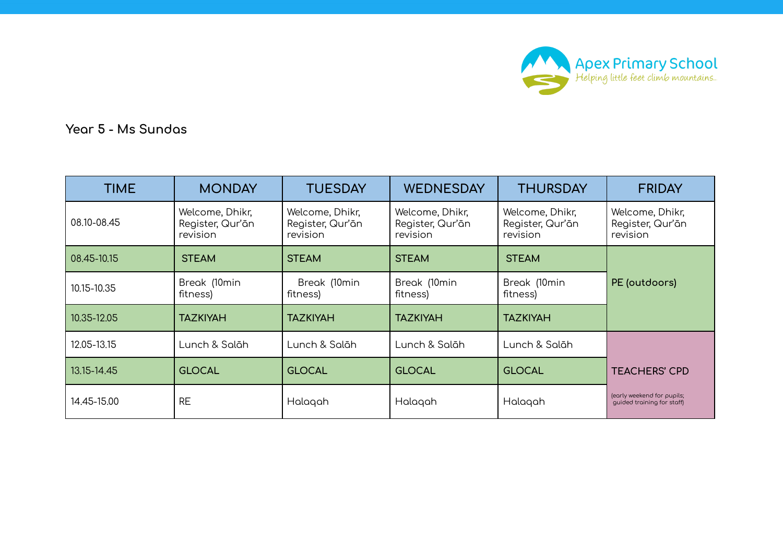

**Year 5 - Ms Sundas**

| <b>TIME</b> | <b>MONDAY</b>                                   | <b>TUESDAY</b>                                  | <b>WEDNESDAY</b>                                | <b>THURSDAY</b>                                 | <b>FRIDAY</b>                                            |
|-------------|-------------------------------------------------|-------------------------------------------------|-------------------------------------------------|-------------------------------------------------|----------------------------------------------------------|
| 08.10-08.45 | Welcome, Dhikr,<br>Register, Qur'ān<br>revision | Welcome, Dhikr,<br>Register, Qur'ān<br>revision | Welcome, Dhikr,<br>Register, Qur'ān<br>revision | Welcome, Dhikr,<br>Register, Qur'ān<br>revision | Welcome, Dhikr,<br>Register, Qur'ān<br>revision          |
| 08.45-10.15 | <b>STEAM</b>                                    | <b>STEAM</b>                                    | <b>STEAM</b>                                    | <b>STEAM</b>                                    |                                                          |
| 10.15-10.35 | Break (10min<br>fitness)                        | Break (10min<br>fitness)                        | Break (10min<br>fitness)                        | Break (10min<br>fitness)                        | PE (outdoors)                                            |
| 10.35-12.05 | <b>TAZKIYAH</b>                                 | <b>TAZKIYAH</b>                                 | <b>TAZKIYAH</b>                                 | <b>TAZKIYAH</b>                                 |                                                          |
| 12.05-13.15 | Lunch & Salāh                                   | Lunch & Salāh                                   | Lunch & Salāh                                   | Lunch & Salāh                                   |                                                          |
| 13.15-14.45 | <b>GLOCAL</b>                                   | <b>GLOCAL</b>                                   | <b>GLOCAL</b>                                   | <b>GLOCAL</b>                                   | <b>TEACHERS' CPD</b>                                     |
| 14.45-15.00 | <b>RE</b>                                       | Halaqah                                         | Halagah                                         | Halagah                                         | (early weekend for pupils;<br>quided training for staff) |